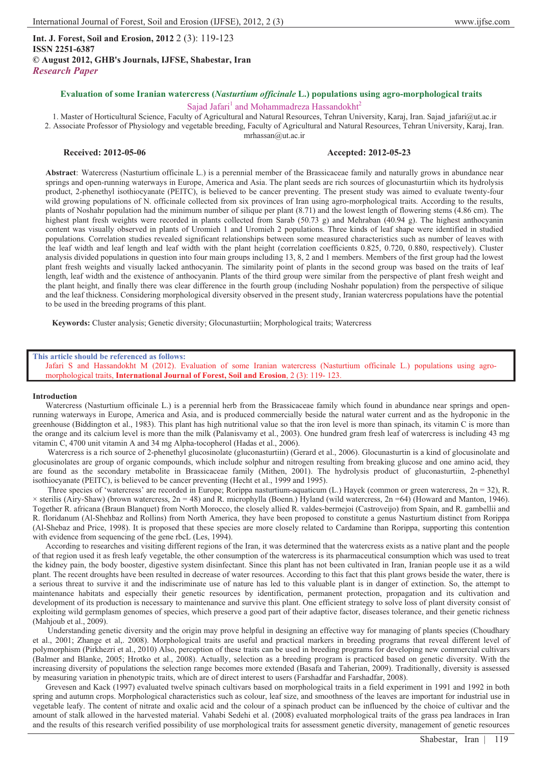# **Evaluation of some Iranian watercress (***Nasturtium officinale* **L.) populations using agro-morphological traits**

## Sajad Jafari<sup>1</sup> and Mohammadreza Hassandokht<sup>2</sup>

1. Master of Horticultural Science, Faculty of Agricultural and Natural Resources, Tehran University, Karaj, Iran. Sajad\_jafari@ut.ac.ir 2. Associate Professor of Physiology and vegetable breeding, Faculty of Agricultural and Natural Resources, Tehran University, Karaj, Iran. mrhassan@ut.ac.ir

### **Received: 2012-05-06 Accepted: 2012-05-23**

**Abstract**: Watercress (Nasturtium officinale L.) is a perennial member of the Brassicaceae family and naturally grows in abundance near springs and open-running waterways in Europe, America and Asia. The plant seeds are rich sources of glocunasturtiin which its hydrolysis product, 2-phenethyl isothiocyanate (PEITC), is believed to be cancer preventing. The present study was aimed to evaluate twenty-four wild growing populations of N. officinale collected from six provinces of Iran using agro-morphological traits. According to the results, plants of Noshahr population had the minimum number of silique per plant (8.71) and the lowest length of flowering stems (4.86 cm). The highest plant fresh weights were recorded in plants collected from Sarab (50.73 g) and Mehraban (40.94 g). The highest anthocyanin content was visually observed in plants of Uromieh 1 and Uromieh 2 populations. Three kinds of leaf shape were identified in studied populations. Correlation studies revealed significant relationships between some measured characteristics such as number of leaves with the leaf width and leaf length and leaf width with the plant height (correlation coefficients 0.825, 0.720, 0.880, respectively). Cluster analysis divided populations in question into four main groups including 13, 8, 2 and 1 members. Members of the first group had the lowest plant fresh weights and visually lacked anthocyanin. The similarity point of plants in the second group was based on the traits of leaf length, leaf width and the existence of anthocyanin. Plants of the third group were similar from the perspective of plant fresh weight and the plant height, and finally there was clear difference in the fourth group (including Noshahr population) from the perspective of silique and the leaf thickness. Considering morphological diversity observed in the present study, Iranian watercress populations have the potential to be used in the breeding programs of this plant.

**Keywords:** Cluster analysis; Genetic diversity; Glocunasturtiin; Morphological traits; Watercress

#### **This article should be referenced as follows:**

Jafari S and Hassandokht M (2012). Evaluation of some Iranian watercress (Nasturtium officinale L.) populations using agromorphological traits, **International Journal of Forest, Soil and Erosion**, 2 (3): 119- 123.

#### **Introduction**

Watercress (Nasturtium officinale L.) is a perennial herb from the Brassicaceae family which found in abundance near springs and openrunning waterways in Europe, America and Asia, and is produced commercially beside the natural water current and as the hydroponic in the greenhouse (Biddington et al., 1983). This plant has high nutritional value so that the iron level is more than spinach, its vitamin C is more than the orange and its calcium level is more than the milk (Palanisvamy et al., 2003). One hundred gram fresh leaf of watercress is including 43 mg vitamin C, 4700 unit vitamin A and 34 mg Alpha-tocopherol (Hadas et al., 2006).

Watercress is a rich source of 2-phenethyl glucosinolate (gluconasturtiin) (Gerard et al., 2006). Glocunasturtin is a kind of glocusinolate and glocusinolates are group of organic compounds, which include solphur and nitrogen resulting from breaking glucose and one amino acid, they are found as the secondary metabolite in Brassicaceae family (Mithen, 2001). The hydrolysis product of gluconasturtiin, 2-phenethyl isothiocyanate (PEITC), is believed to be cancer preventing (Hecht et al., 1999 and 1995).

 Three species of 'watercress' are recorded in Europe; Rorippa nasturtium-aquaticum (L.) Hayek (common or green watercress, 2n = 32), R.  $\times$  sterilis (Airy-Shaw) (brown watercress, 2n = 48) and R. microphylla (Boenn.) Hyland (wild watercress, 2n = 64) (Howard and Manton, 1946). Together R. africana (Braun Blanquet) from North Morocco, the closely allied R. valdes-bermejoi (Castroveijo) from Spain, and R. gambellii and R. floridanum (Al-Shehbaz and Rollins) from North America, they have been proposed to constitute a genus Nasturtium distinct from Rorippa (Al-Shebaz and Price, 1998). It is proposed that these species are more closely related to Cardamine than Rorippa, supporting this contention with evidence from sequencing of the gene rbcL (Les, 1994).

According to researches and visiting different regions of the Iran, it was determined that the watercress exists as a native plant and the people of that region used it as fresh leafy vegetable, the other consumption of the watercress is its pharmaceutical consumption which was used to treat the kidney pain, the body booster, digestive system disinfectant. Since this plant has not been cultivated in Iran, Iranian people use it as a wild plant. The recent droughts have been resulted in decrease of water resources. According to this fact that this plant grows beside the water, there is a serious threat to survive it and the indiscriminate use of nature has led to this valuable plant is in danger of extinction. So, the attempt to maintenance habitats and especially their genetic resources by identification, permanent protection, propagation and its cultivation and development of its production is necessary to maintenance and survive this plant. One efficient strategy to solve loss of plant diversity consist of exploiting wild germplasm genomes of species, which preserve a good part of their adaptive factor, diseases tolerance, and their genetic richness (Mahioub et al., 2009).

 Understanding genetic diversity and the origin may prove helpful in designing an effective way for managing of plants species (Choudhary et al., 2001; Zhange et al,. 2008). Morphological traits are useful and practical markers in breeding programs that reveal different level of polymorphism (Pirkhezri et al., 2010) Also, perception of these traits can be used in breeding programs for developing new commercial cultivars (Balmer and Blanke, 2005; Hrotko et al., 2008). Actually, selection as a breeding program is practiced based on genetic diversity. With the increasing diversity of populations the selection range becomes more extended (Basafa and Taherian, 2009). Traditionally, diversity is assessed by measuring variation in phenotypic traits, which are of direct interest to users (Farshadfar and Farshadfar, 2008).

Grevesen and Kack (1997) evaluated twelve spinach cultivars based on morphological traits in a field experiment in 1991 and 1992 in both spring and autumn crops. Morphological characteristics such as colour, leaf size, and smoothness of the leaves are important for industrial use in vegetable leafy. The content of nitrate and oxalic acid and the colour of a spinach product can be influenced by the choice of cultivar and the amount of stalk allowed in the harvested material. Vahabi Sedehi et al. (2008) evaluated morphological traits of the grass pea landraces in Iran and the results of this research verified possibility of use morphological traits for assessment genetic diversity, management of genetic resources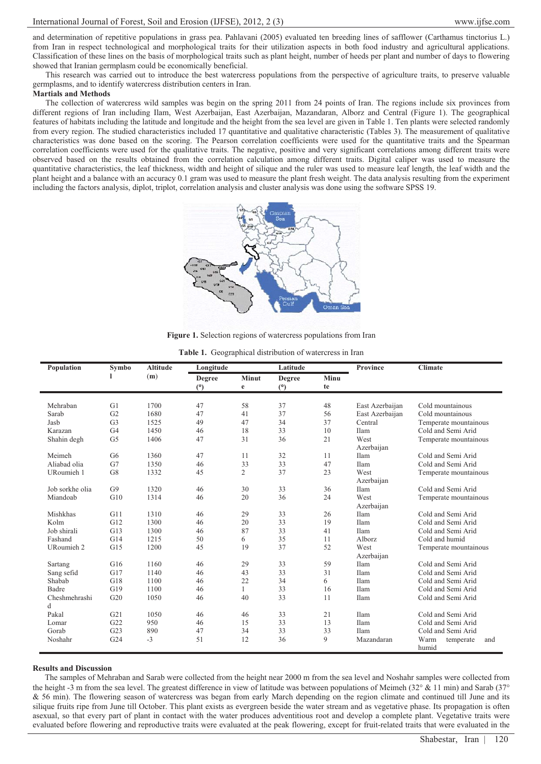and determination of repetitive populations in grass pea. Pahlavani (2005) evaluated ten breeding lines of safflower (Carthamus tinctorius L.) from Iran in respect technological and morphological traits for their utilization aspects in both food industry and agricultural applications. Classification of these lines on the basis of morphological traits such as plant height, number of heeds per plant and number of days to flowering showed that Iranian germplasm could be economically beneficial.

This research was carried out to introduce the best watercress populations from the perspective of agriculture traits, to preserve valuable germplasms, and to identify watercress distribution centers in Iran.

#### **Martials and Methods**

The collection of watercress wild samples was begin on the spring 2011 from 24 points of Iran. The regions include six provinces from different regions of Iran including Ilam, West Azerbaijan, East Azerbaijan, Mazandaran, Alborz and Central (Figure 1). The geographical features of habitats including the latitude and longitude and the height from the sea level are given in Table 1. Ten plants were selected randomly from every region. The studied characteristics included 17 quantitative and qualitative characteristic (Tables 3). The measurement of qualitative characteristics was done based on the scoring. The Pearson correlation coefficients were used for the quantitative traits and the Spearman correlation coefficients were used for the qualitative traits. The negative, positive and very significant correlations among different traits were observed based on the results obtained from the correlation calculation among different traits. Digital caliper was used to measure the quantitative characteristics, the leaf thickness, width and height of silique and the ruler was used to measure leaf length, the leaf width and the plant height and a balance with an accuracy 0.1 gram was used to measure the plant fresh weight. The data analysis resulting from the experiment including the factors analysis, diplot, triplot, correlation analysis and cluster analysis was done using the software SPSS 19.



**Figure 1.** Selection regions of watercress populations from Iran

|  | <b>Table 1.</b> Geographical distribution of watercress in Iran |  |  |  |
|--|-----------------------------------------------------------------|--|--|--|
|--|-----------------------------------------------------------------|--|--|--|

| Population      | Symbo          | <b>Altitude</b> | Longitude     |              | Latitude |      | Province        | <b>Climate</b>                    |
|-----------------|----------------|-----------------|---------------|--------------|----------|------|-----------------|-----------------------------------|
|                 |                | (m)             | <b>Degree</b> | <b>Minut</b> | Degree   | Minu |                 |                                   |
|                 |                |                 | (°)           | $\mathbf e$  | (°)      | te   |                 |                                   |
| Mehraban        | G1             | 1700            | 47            | 58           | 37       | 48   | East Azerbaijan | Cold mountainous                  |
| Sarab           | G <sub>2</sub> | 1680            | 47            | 41           | 37       | 56   | East Azerbaijan | Cold mountainous                  |
| Jasb            | G <sub>3</sub> | 1525            | 49            | 47           | 34       | 37   | Central         | Temperate mountainous             |
| Karazan         | G <sub>4</sub> | 1450            | 46            | 18           | 33       | 10   | Ilam            | Cold and Semi Arid                |
| Shahin degh     | G <sub>5</sub> | 1406            | 47            | 31           | 36       | 21   | West            | Temperate mountainous             |
|                 |                |                 |               |              |          |      | Azerbaijan      |                                   |
| Meimeh          | G <sub>6</sub> | 1360            | 47            | 11           | 32       | 11   | Ilam            | Cold and Semi Arid                |
| Aliabad olia    | G7             | 1350            | 46            | 33           | 33       | 47   | Ilam            | Cold and Semi Arid                |
| URoumieh 1      | G8             | 1332            | 45            | 2            | 37       | 23   | West            | Temperate mountainous             |
|                 |                |                 |               |              |          |      | Azerbaijan      |                                   |
| Job sorkhe olia | G <sub>9</sub> | 1320            | 46            | 30           | 33       | 36   | Ilam            | Cold and Semi Arid                |
| Miandoab        | G10            | 1314            | 46            | 20           | 36       | 24   | West            | Temperate mountainous             |
|                 |                |                 |               |              |          |      | Azerbaijan      |                                   |
| Mishkhas        | G11            | 1310            | 46            | 29           | 33       | 26   | Ilam            | Cold and Semi Arid                |
| Kolm            | G12            | 1300            | 46            | 20           | 33       | 19   | Ilam            | Cold and Semi Arid                |
| Job shirali     | G13            | 1300            | 46            | 87           | 33       | 41   | Ilam            | Cold and Semi Arid                |
| Fashand         | G14            | 1215            | 50            | 6            | 35       | 11   | Alborz          | Cold and humid                    |
| URoumieh 2      | G15            | 1200            | 45            | 19           | 37       | 52   | West            | Temperate mountainous             |
|                 |                |                 |               |              |          |      | Azerbaijan      |                                   |
| Sartang         | G16            | 1160            | 46            | 29           | 33       | 59   | Ilam            | Cold and Semi Arid                |
| Sang sefid      | G17            | 1140            | 46            | 43           | 33       | 31   | Ilam            | Cold and Semi Arid                |
| Shabab          | G18            | 1100            | 46            | 22           | 34       | 6    | Ilam            | Cold and Semi Arid                |
| Badre           | G19            | 1100            | 46            | 1            | 33       | 16   | Ilam            | Cold and Semi Arid                |
| Cheshmehrashi   | G20            | 1050            | 46            | 40           | 33       | 11   | Ilam            | Cold and Semi Arid                |
| d               |                |                 |               |              |          |      |                 |                                   |
| Pakal           | G21            | 1050            | 46            | 46           | 33       | 21   | Ilam            | Cold and Semi Arid                |
| Lomar           | G22            | 950             | 46            | 15           | 33       | 13   | Ilam            | Cold and Semi Arid                |
| Gorab           | G23            | 890             | 47            | 34           | 33       | 33   | Ilam            | Cold and Semi Arid                |
| Noshahr         | G24            | $-3$            | 51            | 12           | 36       | 9    | Mazandaran      | Warm<br>temperate<br>and<br>humid |

#### **Results and Discussion**

The samples of Mehraban and Sarab were collected from the height near 2000 m from the sea level and Noshahr samples were collected from the height -3 m from the sea level. The greatest difference in view of latitude was between populations of Meimeh (32 $\degree$  & 11 min) and Sarab (37 $\degree$ & 56 min). The flowering season of watercress was began from early March depending on the region climate and continued till June and its silique fruits ripe from June till October. This plant exists as evergreen beside the water stream and as vegetative phase. Its propagation is often asexual, so that every part of plant in contact with the water produces adventitious root and develop a complete plant. Vegetative traits were evaluated before flowering and reproductive traits were evaluated at the peak flowering, except for fruit-related traits that were evaluated in the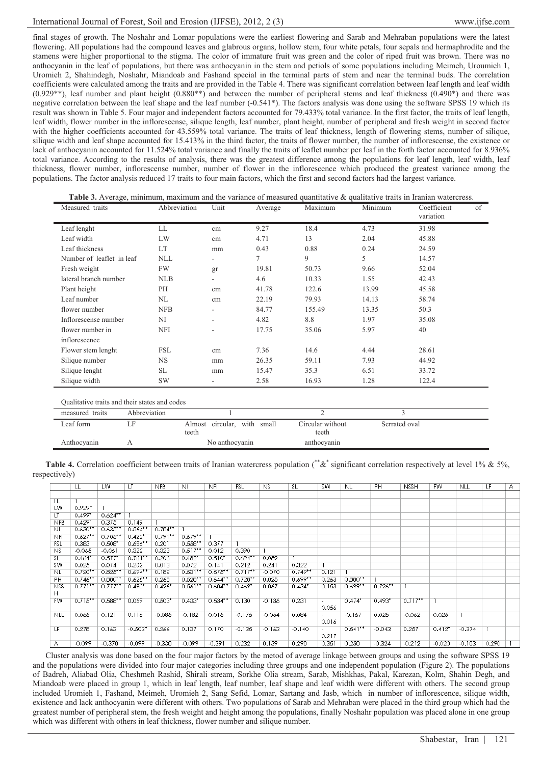final stages of growth. The Noshahr and Lomar populations were the earliest flowering and Sarab and Mehraban populations were the latest flowering. All populations had the compound leaves and glabrous organs, hollow stem, four white petals, four sepals and hermaphrodite and the stamens were higher proportional to the stigma. The color of immature fruit was green and the color of riped fruit was brown. There was no anthocyanin in the leaf of populations, but there was anthocyanin in the stem and petiols of some populations including Meimeh, Uroumieh 1, Uromieh 2, Shahindegh, Noshahr, Miandoab and Fashand special in the terminal parts of stem and near the terminal buds. The correlation coefficients were calculated among the traits and are provided in the Table 4. There was significant correlation between leaf length and leaf width  $(0.929**)$ , leaf number and plant height  $(0.880**)$  and between the number of peripheral stems and leaf thickness  $(0.490*)$  and there was negative correlation between the leaf shape and the leaf number (-0.541\*). The factors analysis was done using the software SPSS 19 which its result was shown in Table 5. Four major and independent factors accounted for 79.433% total variance. In the first factor, the traits of leaf length, leaf width, flower number in the inflorescense, silique length, leaf number, plant height, number of peripheral and fresh weight in second factor with the higher coefficients accounted for 43.559% total variance. The traits of leaf thickness, length of flowering stems, number of silique, silique width and leaf shape accounted for 15.413% in the third factor, the traits of flower number, the number of inflorescense, the existence or lack of anthocyanin accounted for 11.524% total variance and finally the traits of leaflet number per leaf in the forth factor accounted for 8.936% total variance. According to the results of analysis, there was the greatest difference among the populations for leaf length, leaf width, leaf thickness, flower number, inflorescense number, number of flower in the inflorescence which produced the greatest variance among the populations. The factor analysis reduced 17 traits to four main factors, which the first and second factors had the largest variance.

| Table 3. Average, minimum, maximum and the variance of measured quantitative & qualitative traits in Iranian watercress. |              |        |         |         |         |                                |  |  |  |
|--------------------------------------------------------------------------------------------------------------------------|--------------|--------|---------|---------|---------|--------------------------------|--|--|--|
| Measured traits                                                                                                          | Abbreviation | Unit   | Average | Maximum | Minimum | Coefficient<br>of<br>variation |  |  |  |
| Leaf lenght                                                                                                              | LL           | cm     | 9.27    | 18.4    | 4.73    | 31.98                          |  |  |  |
| Leaf width                                                                                                               | LW           | cm     | 4.71    | 13      | 2.04    | 45.88                          |  |  |  |
| Leaf thickness                                                                                                           | LT           | mm     | 0.43    | 0.88    | 0.24    | 24.59                          |  |  |  |
| Number of leaflet in leaf                                                                                                | <b>NLL</b>   | ٠      | 7       | 9       | 5       | 14.57                          |  |  |  |
| Fresh weight                                                                                                             | FW           | gr     | 19.81   | 50.73   | 9.66    | 52.04                          |  |  |  |
| lateral branch number                                                                                                    | <b>NLB</b>   | Ξ.     | 4.6     | 10.33   | 1.55    | 42.43                          |  |  |  |
| Plant height                                                                                                             | PH           | cm     | 41.78   | 122.6   | 13.99   | 45.58                          |  |  |  |
| Leaf number                                                                                                              | NL           | cm     | 22.19   | 79.93   | 14.13   | 58.74                          |  |  |  |
| flower number                                                                                                            | <b>NFB</b>   | Ξ.     | 84.77   | 155.49  | 13.35   | 50.3                           |  |  |  |
| Inflorescense number                                                                                                     | NI           | $\sim$ | 4.82    | 8.8     | 1.97    | 35.08                          |  |  |  |
| flower number in                                                                                                         | <b>NFI</b>   | ۰      | 17.75   | 35.06   | 5.97    | 40                             |  |  |  |
| inflorescence                                                                                                            |              |        |         |         |         |                                |  |  |  |
| Flower stem lenght                                                                                                       | <b>FSL</b>   | cm     | 7.36    | 14.6    | 4.44    | 28.61                          |  |  |  |
| Silique number                                                                                                           | <b>NS</b>    | mm     | 26.35   | 59.11   | 7.93    | 44.92                          |  |  |  |
| Silique lenght                                                                                                           | SL           | mm     | 15.47   | 35.3    | 6.51    | 33.72                          |  |  |  |
| Silique width                                                                                                            | <b>SW</b>    | ۰.     | 2.58    | 16.93   | 1.28    | 122.4                          |  |  |  |
|                                                                                                                          |              |        |         |         |         |                                |  |  |  |

Qualitative traits and their states and codes

| measured traits | Abbreviation |                                      |                           |               |  |
|-----------------|--------------|--------------------------------------|---------------------------|---------------|--|
| Leaf form       |              | Almost circular, with small<br>teeth | Circular without<br>teeth | Serrated oval |  |
| Anthocyanin     |              | No anthocyanin                       | anthocyanin               |               |  |

|               | Table 4. Correlation coefficient between traits of Iranian watercress population (**&* significant correlation respectively at level 1% & 5%, |  |  |  |
|---------------|-----------------------------------------------------------------------------------------------------------------------------------------------|--|--|--|
| respectively) |                                                                                                                                               |  |  |  |

|                | LL         | LW                   | LT                    | NFB                   | <b>NI</b>            | <b>NFI</b>           | FSL        | NS.      | SL                    | SW                                | NL.        | PH         | <b>NSSH</b> | FW       | <b>NLL</b> | LF    | A. |
|----------------|------------|----------------------|-----------------------|-----------------------|----------------------|----------------------|------------|----------|-----------------------|-----------------------------------|------------|------------|-------------|----------|------------|-------|----|
|                |            |                      |                       |                       |                      |                      |            |          |                       |                                   |            |            |             |          |            |       |    |
| LL             |            |                      |                       |                       |                      |                      |            |          |                       |                                   |            |            |             |          |            |       |    |
| <b>LW</b>      | 0.929      |                      |                       |                       |                      |                      |            |          |                       |                                   |            |            |             |          |            |       |    |
| LT             | $0.499*$   | $0.624**$            |                       |                       |                      |                      |            |          |                       |                                   |            |            |             |          |            |       |    |
| <b>NFB</b>     | 0.429      | 0.375                | 0.149                 |                       |                      |                      |            |          |                       |                                   |            |            |             |          |            |       |    |
| NI             | $0.630$ ** | $0.635$ **           | $0.564$ **            | $0.784$ **            |                      |                      |            |          |                       |                                   |            |            |             |          |            |       |    |
| <b>NFI</b>     | $0.627$ ** | $0.705$ **           | $0.422*$              | $0.791$ <sup>**</sup> | $0.679$ **           |                      |            |          |                       |                                   |            |            |             |          |            |       |    |
| <b>FSL</b>     | 0.383      | $0.508*$             | $0.686$ *             | 0.201                 | $0.558$ *            | 0.377                |            |          |                       |                                   |            |            |             |          |            |       |    |
| N <sub>S</sub> | $-0.065$   | $-0.061$             | 0.322                 | 0.323                 | 0.517                | 0.012                | 0.390      |          |                       |                                   |            |            |             |          |            |       |    |
| SL             | 0.464"     | $0.577$ <sup>*</sup> | $0.761$ <sup>**</sup> | 0.206                 | $0.482$ <sup>*</sup> | 0.510"               | $0.694$ ** | 0.089    |                       |                                   |            |            |             |          |            |       |    |
| SW             | 0.025      | 0.074                | 0.202                 | 0.013                 | 0.072                | 0.141                | 0.212      | 0.241    | 0.322                 |                                   |            |            |             |          |            |       |    |
| NL.            | $0.720$ *  | $0.825$ *            | $0.694$ *             | 0.182                 | $0.531$ **           | $0.575$ *            | $0.717$ ** | $-0.070$ | $0.749$ <sup>**</sup> | 0.121                             |            |            |             |          |            |       |    |
| PH             | $0.746$ ** | $0.880$ **           | $0.625$ *             | 0.268                 | 0.528                | 0.644                | $0.728$ *  | 0.025    | $0.699$ **            | 0.263                             | $0.880$ *  |            |             |          |            |       |    |
| <b>NSS</b>     | $0.771$ ** | $0.777$ **           | $0.490*$              | 0.426"                | $0.561$ **           | $0.684$ <sup>*</sup> | $0.469*$   | 0.067    | 0.434"                | 0.153                             | $0.699$ *  | $0.726$ ** |             |          |            |       |    |
| н              |            |                      |                       |                       |                      |                      |            |          |                       |                                   |            |            |             |          |            |       |    |
| <b>FW</b>      | $0.715$ ** | $0.588$ **           | 0.069                 | 0.503"                | 0.433'               | $0.534$ **           | 0.130      | $-0.136$ | 0.231                 | $\overline{\phantom{a}}$          | $0.474*$   | $0.493*$   | 0.717       |          |            |       |    |
|                |            |                      |                       |                       |                      |                      |            |          |                       | 0.056                             |            |            |             |          |            |       |    |
| <b>NLL</b>     | 0.065      | 0.121                | 0.115                 | $-0.085$              | $-0.182$             | 0.015                | $-0.175$   | $-0.054$ | 0.084                 | $\overline{\phantom{a}}$<br>0.016 | $-0.167$   | 0.025      | $-0.062$    | 0.025    |            |       |    |
| LF             | 0.278      | 0.163                | $-0.503"$             | 0.266                 | 0.137                | 0.170                | $-0.135$   | $-0.163$ | $-0.140$              | $\overline{\phantom{a}}$          | $0.541$ ** | $-0.043$   | 0.257       | $0.412*$ | $-0.374$   |       |    |
|                |            |                      |                       |                       |                      |                      |            |          |                       | 0.217                             |            |            |             |          |            |       |    |
| Α              | $-0.099$   | $-0.378$             | $-0.099$              | $-0.338$              | $-0.099$             | $-0.391$             | 0.232      | 0.139    | 0.298                 | 0.351                             | 0.258      | $-0.324$   | $-0.212$    | $-0.020$ | $-0.183$   | 0.290 |    |

Cluster analysis was done based on the four major factors by the metod of average linkage between groups and using the software SPSS 19 and the populations were divided into four major categories including three groups and one independent population (Figure 2). The populations of Badreh, Aliabad Olia, Cheshmeh Rashid, Shirali stream, Sorkhe Olia stream, Sarab, Mishkhas, Pakal, Karezan, Kolm, Shahin Degh, and Miandoab were placed in group 1, which in leaf length, leaf number, leaf shape and leaf width were different with others. The second group included Uromieh 1, Fashand, Meimeh, Uromieh 2, Sang Sefid, Lomar, Sartang and Jasb, which in number of inflorescence, silique width, existence and lack anthocyanin were different with others. Two populations of Sarab and Mehraban were placed in the third group which had the greatest number of peripheral stem, the fresh weight and height among the populations, finally Noshahr population was placed alone in one group which was different with others in leaf thickness, flower number and silique number.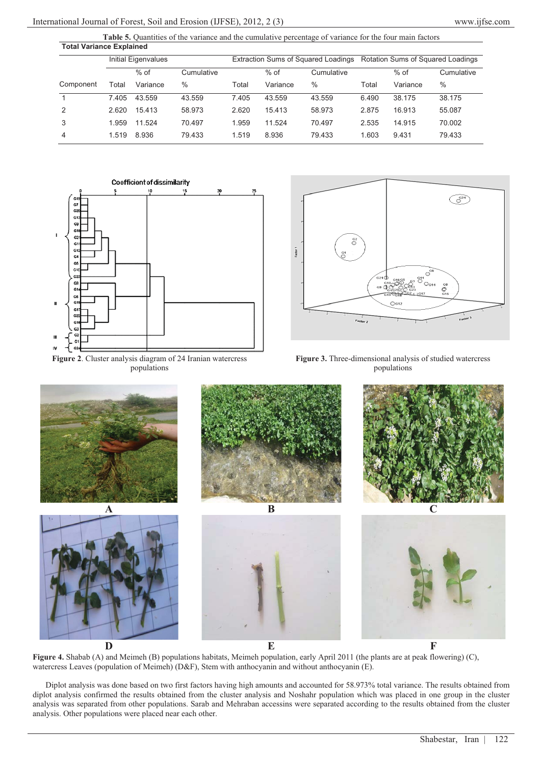| <b>Total Variance Explained</b> |                     |          |            |       |          |                                     |                                   |          |            |  |
|---------------------------------|---------------------|----------|------------|-------|----------|-------------------------------------|-----------------------------------|----------|------------|--|
|                                 | Initial Eigenvalues |          |            |       |          | Extraction Sums of Squared Loadings | Rotation Sums of Squared Loadings |          |            |  |
|                                 |                     | $%$ of   | Cumulative |       | $%$ of   | Cumulative                          |                                   | $%$ of   | Cumulative |  |
| Component                       | Total               | Variance | $\%$       | Total | Variance | $\%$                                | Total                             | Variance | $\%$       |  |
|                                 | 7.405               | 43.559   | 43.559     | 7.405 | 43.559   | 43.559                              | 6.490                             | 38.175   | 38.175     |  |
| 2                               | 2.620               | 15.413   | 58.973     | 2.620 | 15.413   | 58.973                              | 2.875                             | 16.913   | 55.087     |  |
| 3                               | 1.959               | 11.524   | 70.497     | 1.959 | 11.524   | 70.497                              | 2.535                             | 14.915   | 70.002     |  |
| 4                               | 1.519               | 8.936    | 79.433     | 1.519 | 8.936    | 79.433                              | 1.603                             | 9.431    | 79.433     |  |

Table 5. Quantities of the variance and the cumulative percentage of variance for the four main factors



**Figure 2**. Cluster analysis diagram of 24 Iranian watercress populations



**Figure 3.** Three-dimensional analysis of studied watercress populations



**Figure 4.** Shabab (A) and Meimeh (B) populations habitats, Meimeh population, early April 2011 (the plants are at peak flowering) (C), watercress Leaves (population of Meimeh) (D&F), Stem with anthocyanin and without anthocyanin (E).

Diplot analysis was done based on two first factors having high amounts and accounted for 58.973% total variance. The results obtained from diplot analysis confirmed the results obtained from the cluster analysis and Noshahr population which was placed in one group in the cluster analysis was separated from other populations. Sarab and Mehraban accessins were separated according to the results obtained from the cluster analysis. Other populations were placed near each other.